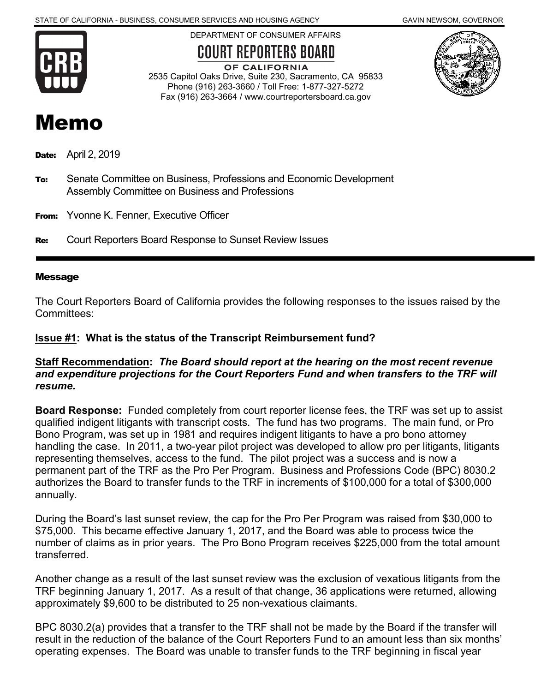

DEPARTMENT OF CONSUMER AFFAIRS

# **COURT REPORTERS BOARD**



OF CALIFORNIA 2535 Capitol Oaks Drive, Suite 230, Sacramento, CA 95833 Phone (916) 263-3660 / Toll Free: 1-877-327-5272 Fax (916) 263-3664 / www.courtreportersboard.ca.gov

# Memo

**Date:** April 2, 2019

- To: Senate Committee on Business, Professions and Economic Development Assembly Committee on Business and Professions
- From: Yvonne K. Fenner, Executive Officer
- Re: Court Reporters Board Response to Sunset Review Issues

#### Message

The Court Reporters Board of California provides the following responses to the issues raised by the Committees:

### **Issue #1: What is the status of the Transcript Reimbursement fund?**

#### **Staff Recommendation:** *The Board should report at the hearing on the most recent revenue and expenditure projections for the Court Reporters Fund and when transfers to the TRF will resume.*

**Board Response:** Funded completely from court reporter license fees, the TRF was set up to assist qualified indigent litigants with transcript costs. The fund has two programs. The main fund, or Pro Bono Program, was set up in 1981 and requires indigent litigants to have a pro bono attorney handling the case. In 2011, a two-year pilot project was developed to allow pro per litigants, litigants representing themselves, access to the fund. The pilot project was a success and is now a permanent part of the TRF as the Pro Per Program. Business and Professions Code (BPC) 8030.2 authorizes the Board to transfer funds to the TRF in increments of \$100,000 for a total of \$300,000 annually.

During the Board's last sunset review, the cap for the Pro Per Program was raised from \$30,000 to \$75,000. This became effective January 1, 2017, and the Board was able to process twice the number of claims as in prior years. The Pro Bono Program receives \$225,000 from the total amount transferred.

Another change as a result of the last sunset review was the exclusion of vexatious litigants from the TRF beginning January 1, 2017. As a result of that change, 36 applications were returned, allowing approximately \$9,600 to be distributed to 25 non-vexatious claimants.

BPC 8030.2(a) provides that a transfer to the TRF shall not be made by the Board if the transfer will result in the reduction of the balance of the Court Reporters Fund to an amount less than six months' operating expenses. The Board was unable to transfer funds to the TRF beginning in fiscal year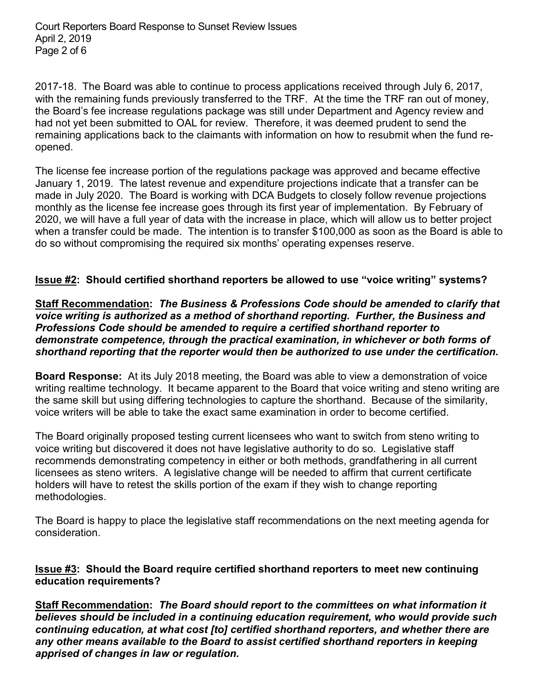Court Reporters Board Response to Sunset Review Issues April 2, 2019 Page 2 of 6

2017-18. The Board was able to continue to process applications received through July 6, 2017, with the remaining funds previously transferred to the TRF. At the time the TRF ran out of money, the Board's fee increase regulations package was still under Department and Agency review and had not yet been submitted to OAL for review. Therefore, it was deemed prudent to send the remaining applications back to the claimants with information on how to resubmit when the fund reopened.

The license fee increase portion of the regulations package was approved and became effective January 1, 2019. The latest revenue and expenditure projections indicate that a transfer can be made in July 2020. The Board is working with DCA Budgets to closely follow revenue projections monthly as the license fee increase goes through its first year of implementation. By February of 2020, we will have a full year of data with the increase in place, which will allow us to better project when a transfer could be made. The intention is to transfer \$100,000 as soon as the Board is able to do so without compromising the required six months' operating expenses reserve.

### **Issue #2: Should certified shorthand reporters be allowed to use "voice writing" systems?**

**Staff Recommendation:** *The Business & Professions Code should be amended to clarify that voice writing is authorized as a method of shorthand reporting. Further, the Business and Professions Code should be amended to require a certified shorthand reporter to demonstrate competence, through the practical examination, in whichever or both forms of shorthand reporting that the reporter would then be authorized to use under the certification.*

**Board Response:** At its July 2018 meeting, the Board was able to view a demonstration of voice writing realtime technology. It became apparent to the Board that voice writing and steno writing are the same skill but using differing technologies to capture the shorthand. Because of the similarity, voice writers will be able to take the exact same examination in order to become certified.

The Board originally proposed testing current licensees who want to switch from steno writing to voice writing but discovered it does not have legislative authority to do so. Legislative staff recommends demonstrating competency in either or both methods, grandfathering in all current licensees as steno writers. A legislative change will be needed to affirm that current certificate holders will have to retest the skills portion of the exam if they wish to change reporting methodologies.

The Board is happy to place the legislative staff recommendations on the next meeting agenda for consideration.

### **Issue #3: Should the Board require certified shorthand reporters to meet new continuing education requirements?**

**Staff Recommendation:** *The Board should report to the committees on what information it believes should be included in a continuing education requirement, who would provide such continuing education, at what cost [to] certified shorthand reporters, and whether there are any other means available to the Board to assist certified shorthand reporters in keeping apprised of changes in law or regulation.*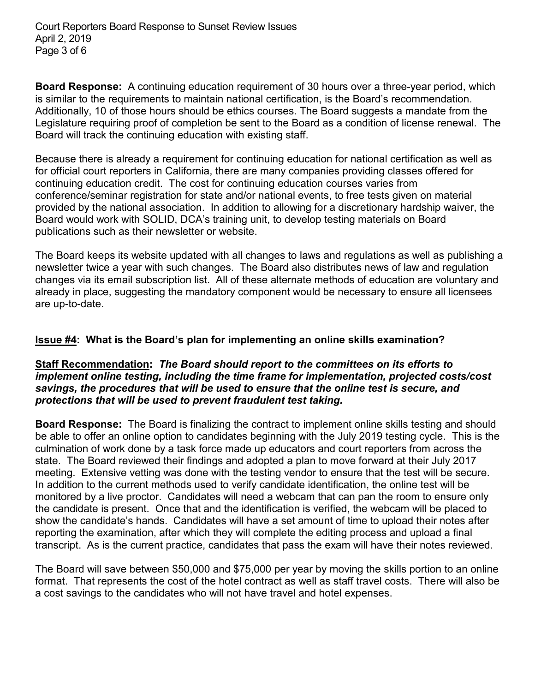Court Reporters Board Response to Sunset Review Issues April 2, 2019 Page 3 of 6

**Board Response:** A continuing education requirement of 30 hours over a three-year period, which is similar to the requirements to maintain national certification, is the Board's recommendation. Additionally, 10 of those hours should be ethics courses. The Board suggests a mandate from the Legislature requiring proof of completion be sent to the Board as a condition of license renewal. The Board will track the continuing education with existing staff.

Because there is already a requirement for continuing education for national certification as well as for official court reporters in California, there are many companies providing classes offered for continuing education credit. The cost for continuing education courses varies from conference/seminar registration for state and/or national events, to free tests given on material provided by the national association. In addition to allowing for a discretionary hardship waiver, the Board would work with SOLID, DCA's training unit, to develop testing materials on Board publications such as their newsletter or website.

The Board keeps its website updated with all changes to laws and regulations as well as publishing a newsletter twice a year with such changes. The Board also distributes news of law and regulation changes via its email subscription list. All of these alternate methods of education are voluntary and already in place, suggesting the mandatory component would be necessary to ensure all licensees are up-to-date.

### **Issue #4: What is the Board's plan for implementing an online skills examination?**

#### **Staff Recommendation:** *The Board should report to the committees on its efforts to implement online testing, including the time frame for implementation, projected costs/cost savings, the procedures that will be used to ensure that the online test is secure, and protections that will be used to prevent fraudulent test taking.*

**Board Response:** The Board is finalizing the contract to implement online skills testing and should be able to offer an online option to candidates beginning with the July 2019 testing cycle. This is the culmination of work done by a task force made up educators and court reporters from across the state. The Board reviewed their findings and adopted a plan to move forward at their July 2017 meeting. Extensive vetting was done with the testing vendor to ensure that the test will be secure. In addition to the current methods used to verify candidate identification, the online test will be monitored by a live proctor. Candidates will need a webcam that can pan the room to ensure only the candidate is present. Once that and the identification is verified, the webcam will be placed to show the candidate's hands. Candidates will have a set amount of time to upload their notes after reporting the examination, after which they will complete the editing process and upload a final transcript. As is the current practice, candidates that pass the exam will have their notes reviewed.

The Board will save between \$50,000 and \$75,000 per year by moving the skills portion to an online format. That represents the cost of the hotel contract as well as staff travel costs. There will also be a cost savings to the candidates who will not have travel and hotel expenses.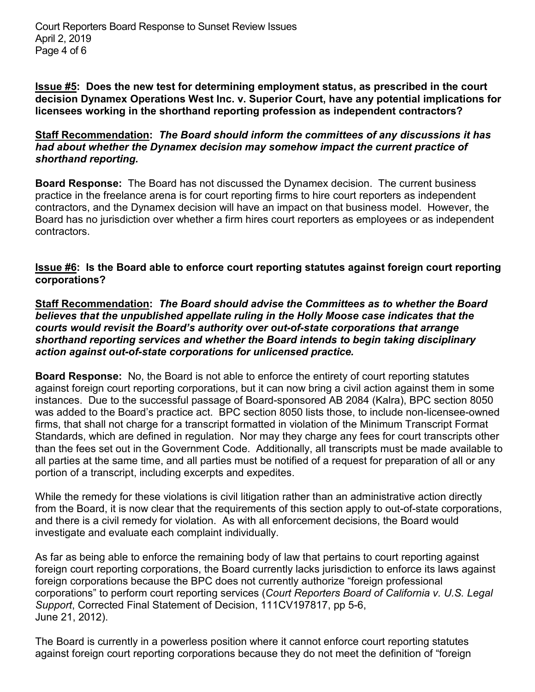Court Reporters Board Response to Sunset Review Issues April 2, 2019 Page 4 of 6

**Issue #5: Does the new test for determining employment status, as prescribed in the court decision Dynamex Operations West Inc. v. Superior Court, have any potential implications for licensees working in the shorthand reporting profession as independent contractors?**

**Staff Recommendation:** *The Board should inform the committees of any discussions it has had about whether the Dynamex decision may somehow impact the current practice of shorthand reporting.*

**Board Response:** The Board has not discussed the Dynamex decision. The current business practice in the freelance arena is for court reporting firms to hire court reporters as independent contractors, and the Dynamex decision will have an impact on that business model. However, the Board has no jurisdiction over whether a firm hires court reporters as employees or as independent contractors.

### **Issue #6: Is the Board able to enforce court reporting statutes against foreign court reporting corporations?**

**Staff Recommendation:** *The Board should advise the Committees as to whether the Board believes that the unpublished appellate ruling in the Holly Moose case indicates that the courts would revisit the Board's authority over out-of-state corporations that arrange shorthand reporting services and whether the Board intends to begin taking disciplinary action against out-of-state corporations for unlicensed practice.* 

**Board Response:** No, the Board is not able to enforce the entirety of court reporting statutes against foreign court reporting corporations, but it can now bring a civil action against them in some instances. Due to the successful passage of Board-sponsored AB 2084 (Kalra), BPC section 8050 was added to the Board's practice act. BPC section 8050 lists those, to include non-licensee-owned firms, that shall not charge for a transcript formatted in violation of the Minimum Transcript Format Standards, which are defined in regulation. Nor may they charge any fees for court transcripts other than the fees set out in the Government Code. Additionally, all transcripts must be made available to all parties at the same time, and all parties must be notified of a request for preparation of all or any portion of a transcript, including excerpts and expedites.

While the remedy for these violations is civil litigation rather than an administrative action directly from the Board, it is now clear that the requirements of this section apply to out-of-state corporations, and there is a civil remedy for violation. As with all enforcement decisions, the Board would investigate and evaluate each complaint individually.

As far as being able to enforce the remaining body of law that pertains to court reporting against foreign court reporting corporations, the Board currently lacks jurisdiction to enforce its laws against foreign corporations because the BPC does not currently authorize "foreign professional corporations" to perform court reporting services (*Court Reporters Board of California v. U.S. Legal Support*, Corrected Final Statement of Decision, 111CV197817, pp 5-6, June 21, 2012).

The Board is currently in a powerless position where it cannot enforce court reporting statutes against foreign court reporting corporations because they do not meet the definition of "foreign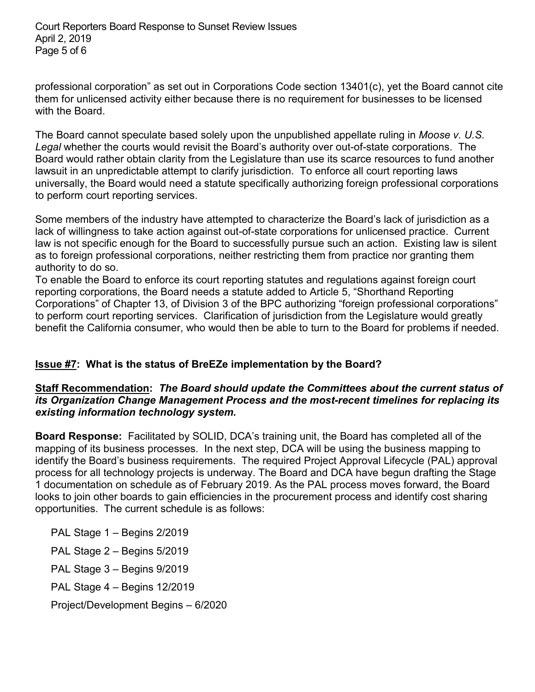Court Reporters Board Response to Sunset Review Issues April 2, 2019 Page 5 of 6

professional corporation" as set out in Corporations Code section 13401(c), yet the Board cannot cite them for unlicensed activity either because there is no requirement for businesses to be licensed with the Board.

The Board cannot speculate based solely upon the unpublished appellate ruling in *Moose v. U.S. Legal* whether the courts would revisit the Board's authority over out-of-state corporations. The Board would rather obtain clarity from the Legislature than use its scarce resources to fund another lawsuit in an unpredictable attempt to clarify jurisdiction. To enforce all court reporting laws universally, the Board would need a statute specifically authorizing foreign professional corporations to perform court reporting services.

Some members of the industry have attempted to characterize the Board's lack of jurisdiction as a lack of willingness to take action against out-of-state corporations for unlicensed practice. Current law is not specific enough for the Board to successfully pursue such an action. Existing law is silent as to foreign professional corporations, neither restricting them from practice nor granting them authority to do so.

To enable the Board to enforce its court reporting statutes and regulations against foreign court reporting corporations, the Board needs a statute added to Article 5, "Shorthand Reporting Corporations" of Chapter 13, of Division 3 of the BPC authorizing "foreign professional corporations" to perform court reporting services. Clarification of jurisdiction from the Legislature would greatly benefit the California consumer, who would then be able to turn to the Board for problems if needed.

## **Issue #7: What is the status of BreEZe implementation by the Board?**

### **Staff Recommendation:** *The Board should update the Committees about the current status of its Organization Change Management Process and the most-recent timelines for replacing its existing information technology system.*

**Board Response:** Facilitated by SOLID, DCA's training unit, the Board has completed all of the mapping of its business processes. In the next step, DCA will be using the business mapping to identify the Board's business requirements. The required Project Approval Lifecycle (PAL) approval process for all technology projects is underway. The Board and DCA have begun drafting the Stage 1 documentation on schedule as of February 2019. As the PAL process moves forward, the Board looks to join other boards to gain efficiencies in the procurement process and identify cost sharing opportunities. The current schedule is as follows:

PAL Stage 1 – Begins 2/2019 PAL Stage 2 – Begins 5/2019 PAL Stage 3 – Begins 9/2019 PAL Stage 4 – Begins 12/2019 Project/Development Begins – 6/2020